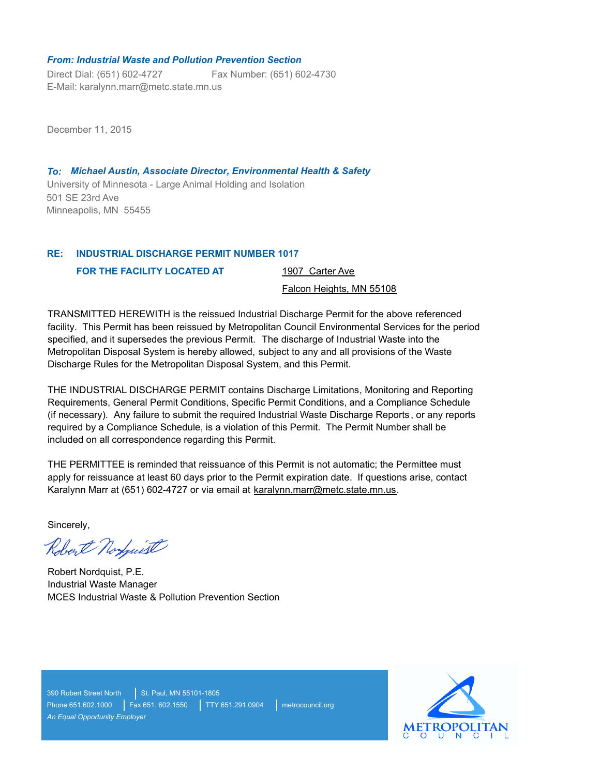#### *From: Industrial Waste and Pollution Prevention Section*

Direct Dial: (651) 602-4727 E-Mail: karalynn.marr@metc.state.mn.us Fax Number: (651) 602-4730

December 11, 2015

University of Minnesota - Large Animal Holding and Isolation *To: Michael Austin, Associate Director, Environmental Health & Safety* 501 SE 23rd Ave Minneapolis, MN 55455

#### **INDUSTRIAL DISCHARGE PERMIT NUMBER 1017 RE:**

**FOR THE FACILITY LOCATED AT** 

1907 Carter Ave

Falcon Heights, MN 55108

TRANSMITTED HEREWITH is the reissued Industrial Discharge Permit for the above referenced facility. This Permit has been reissued by Metropolitan Council Environmental Services for the period specified, and it supersedes the previous Permit. The discharge of Industrial Waste into the Metropolitan Disposal System is hereby allowed, subject to any and all provisions of the Waste Discharge Rules for the Metropolitan Disposal System, and this Permit.

THE INDUSTRIAL DISCHARGE PERMIT contains Discharge Limitations, Monitoring and Reporting Requirements, General Permit Conditions, Specific Permit Conditions, and a Compliance Schedule (if necessary). Any failure to submit the required Industrial Waste Discharge Reports, or any reports required by a Compliance Schedule, is a violation of this Permit. The Permit Number shall be included on all correspondence regarding this Permit.

THE PERMITTEE is reminded that reissuance of this Permit is not automatic; the Permittee must apply for reissuance at least 60 days prior to the Permit expiration date. If questions arise, contact Karalynn Marr at (651) 602-4727 or via email at karalynn.marr@metc.state.mn.us.

Sincerely,

Robert Norguist

Robert Nordquist, P.E. Industrial Waste Manager MCES Industrial Waste & Pollution Prevention Section

390 Robert Street North St. Paul, MN 55101-1805 Phone 651.602.1000 | Fax 651. 602.1550 | TTY 651.291.0904 | metrocouncil.org *An Equal Opportunity Employer*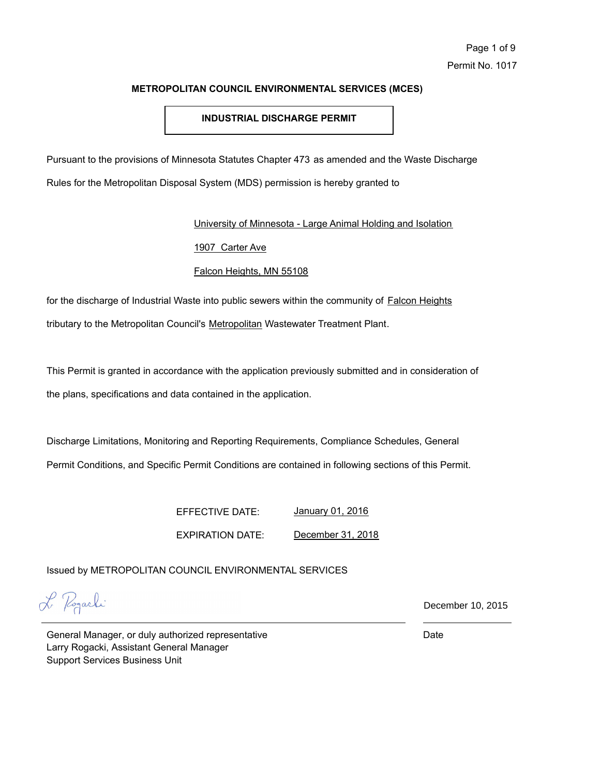# **INDUSTRIAL DISCHARGE PERMIT**

Pursuant to the provisions of Minnesota Statutes Chapter 473 as amended and the Waste Discharge Rules for the Metropolitan Disposal System (MDS) permission is hereby granted to

University of Minnesota - Large Animal Holding and Isolation

# 1907 Carter Ave

# Falcon Heights, MN 55108

for the discharge of Industrial Waste into public sewers within the community of Falcon Heights tributary to the Metropolitan Council's Metropolitan Wastewater Treatment Plant.

This Permit is granted in accordance with the application previously submitted and in consideration of the plans, specifications and data contained in the application.

Discharge Limitations, Monitoring and Reporting Requirements, Compliance Schedules, General Permit Conditions, and Specific Permit Conditions are contained in following sections of this Permit.

> EFFECTIVE DATE: EXPIRATION DATE: January 01, 2016 December 31, 2018

Issued by METROPOLITAN COUNCIL ENVIRONMENTAL SERVICES

L Pogachi

December 10, 2015

General Manager, or duly authorized representative Larry Rogacki, Assistant General Manager Support Services Business Unit

Date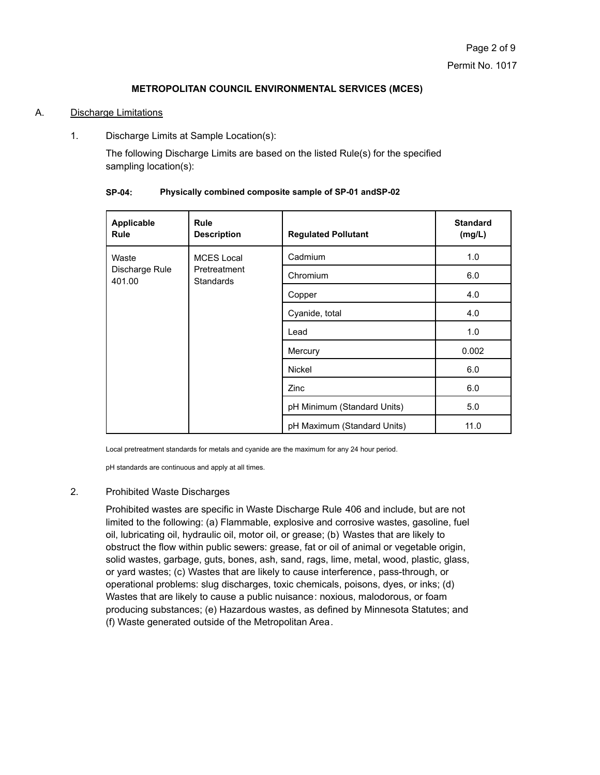# A. Discharge Limitations

1. Discharge Limits at Sample Location(s):

The following Discharge Limits are based on the listed Rule(s) for the specified sampling location(s):

| Applicable<br><b>Rule</b>         | <b>Rule</b><br><b>Description</b>                     | <b>Regulated Pollutant</b>  | <b>Standard</b><br>(mg/L) |
|-----------------------------------|-------------------------------------------------------|-----------------------------|---------------------------|
| Waste<br>Discharge Rule<br>401.00 | <b>MCES Local</b><br>Pretreatment<br><b>Standards</b> | Cadmium                     | 1.0                       |
|                                   |                                                       | Chromium                    | 6.0                       |
|                                   |                                                       | Copper                      | 4.0                       |
|                                   |                                                       | Cyanide, total              | 4.0                       |
|                                   |                                                       | Lead                        | 1.0                       |
|                                   |                                                       | Mercury                     | 0.002                     |
|                                   |                                                       | Nickel                      | 6.0                       |
|                                   |                                                       | Zinc                        | 6.0                       |
|                                   |                                                       | pH Minimum (Standard Units) | 5.0                       |
|                                   |                                                       | pH Maximum (Standard Units) | 11.0                      |

#### **SP-04: Physically combined composite sample of SP-01 andSP-02**

Local pretreatment standards for metals and cyanide are the maximum for any 24 hour period.

pH standards are continuous and apply at all times.

# 2. Prohibited Waste Discharges

Prohibited wastes are specific in Waste Discharge Rule 406 and include, but are not limited to the following: (a) Flammable, explosive and corrosive wastes, gasoline, fuel oil, lubricating oil, hydraulic oil, motor oil, or grease; (b) Wastes that are likely to obstruct the flow within public sewers: grease, fat or oil of animal or vegetable origin, solid wastes, garbage, guts, bones, ash, sand, rags, lime, metal, wood, plastic, glass, or yard wastes; (c) Wastes that are likely to cause interference, pass-through, or operational problems: slug discharges, toxic chemicals, poisons, dyes, or inks; (d) Wastes that are likely to cause a public nuisance: noxious, malodorous, or foam producing substances; (e) Hazardous wastes, as defined by Minnesota Statutes; and (f) Waste generated outside of the Metropolitan Area.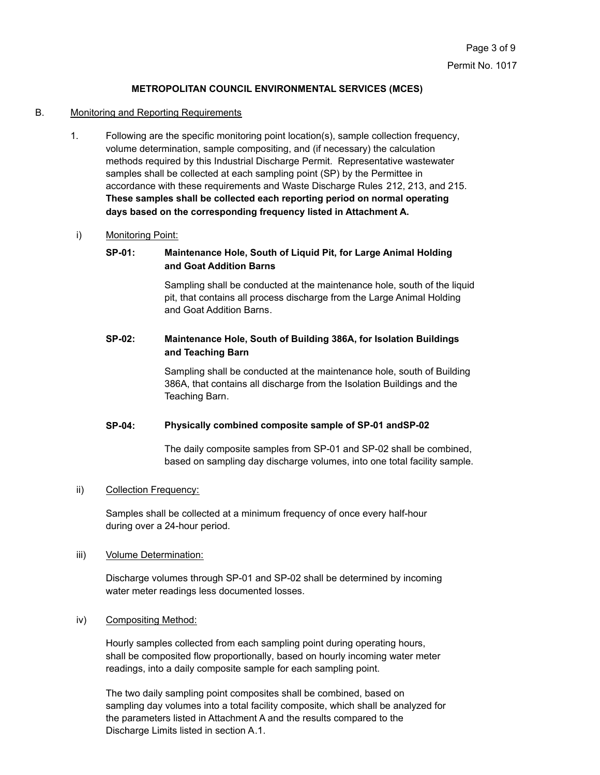#### B. Monitoring and Reporting Requirements

1. Following are the specific monitoring point location(s), sample collection frequency, volume determination, sample compositing, and (if necessary) the calculation methods required by this Industrial Discharge Permit. Representative wastewater samples shall be collected at each sampling point (SP) by the Permittee in accordance with these requirements and Waste Discharge Rules 212, 213, and 215. **These samples shall be collected each reporting period on normal operating days based on the corresponding frequency listed in Attachment A.**

#### i) Monitoring Point:

# **SP-01: Maintenance Hole, South of Liquid Pit, for Large Animal Holding and Goat Addition Barns**

Sampling shall be conducted at the maintenance hole, south of the liquid pit, that contains all process discharge from the Large Animal Holding and Goat Addition Barns.

# **SP-02: Maintenance Hole, South of Building 386A, for Isolation Buildings and Teaching Barn**

Sampling shall be conducted at the maintenance hole, south of Building 386A, that contains all discharge from the Isolation Buildings and the Teaching Barn.

#### **SP-04: Physically combined composite sample of SP-01 andSP-02**

The daily composite samples from SP-01 and SP-02 shall be combined, based on sampling day discharge volumes, into one total facility sample.

#### ii) Collection Frequency:

Samples shall be collected at a minimum frequency of once every half-hour during over a 24-hour period.

#### iii) Volume Determination:

Discharge volumes through SP-01 and SP-02 shall be determined by incoming water meter readings less documented losses.

iv) Compositing Method:

Hourly samples collected from each sampling point during operating hours, shall be composited flow proportionally, based on hourly incoming water meter readings, into a daily composite sample for each sampling point.

The two daily sampling point composites shall be combined, based on sampling day volumes into a total facility composite, which shall be analyzed for the parameters listed in Attachment A and the results compared to the Discharge Limits listed in section A.1.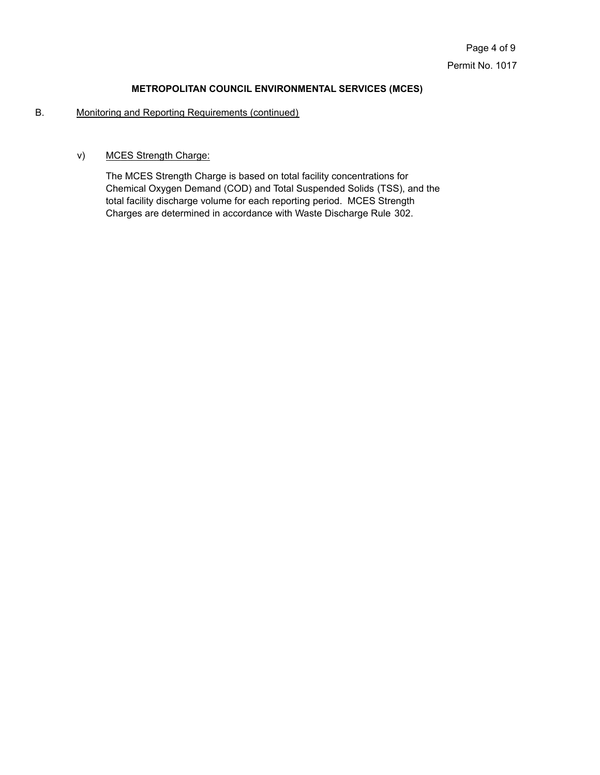# B. Monitoring and Reporting Requirements (continued)

# v) MCES Strength Charge:

The MCES Strength Charge is based on total facility concentrations for Chemical Oxygen Demand (COD) and Total Suspended Solids (TSS), and the total facility discharge volume for each reporting period. MCES Strength Charges are determined in accordance with Waste Discharge Rule 302.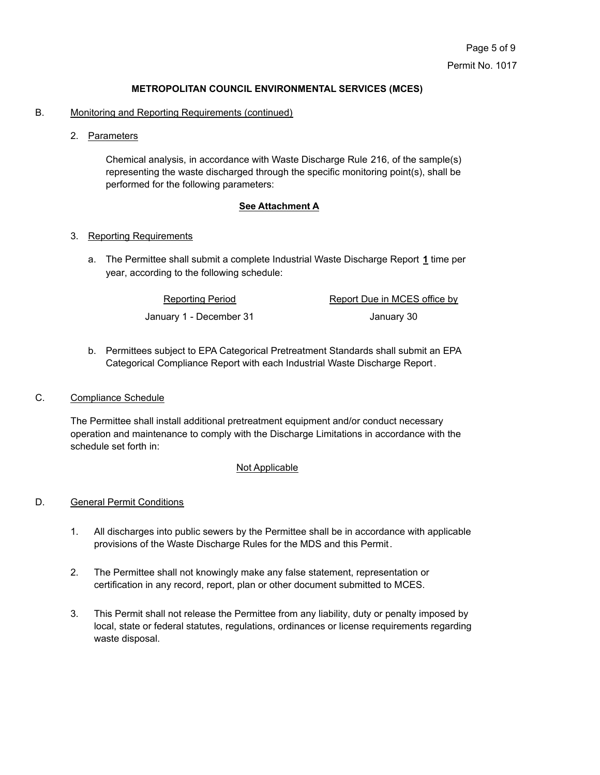- B. Monitoring and Reporting Requirements (continued)
	- 2. Parameters

Chemical analysis, in accordance with Waste Discharge Rule 216, of the sample(s) representing the waste discharged through the specific monitoring point(s), shall be performed for the following parameters:

#### **See Attachment A**

#### 3. Reporting Requirements

The Permittee shall submit a complete Industrial Waste Discharge Report **1** time per a. year, according to the following schedule:

> Reporting Period Report Due in MCES office by January 1 - December 31 January 30

b. Permittees subject to EPA Categorical Pretreatment Standards shall submit an EPA Categorical Compliance Report with each Industrial Waste Discharge Report.

#### C. Compliance Schedule

The Permittee shall install additional pretreatment equipment and/or conduct necessary operation and maintenance to comply with the Discharge Limitations in accordance with the schedule set forth in:

#### Not Applicable

## D. General Permit Conditions

- 1. All discharges into public sewers by the Permittee shall be in accordance with applicable provisions of the Waste Discharge Rules for the MDS and this Permit.
- 2. The Permittee shall not knowingly make any false statement, representation or certification in any record, report, plan or other document submitted to MCES.
- 3. This Permit shall not release the Permittee from any liability, duty or penalty imposed by local, state or federal statutes, regulations, ordinances or license requirements regarding waste disposal.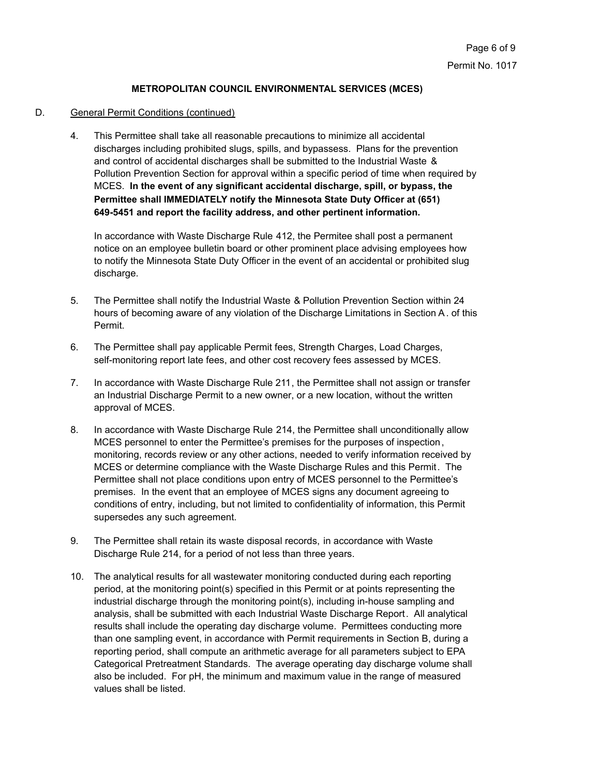# D. General Permit Conditions (continued)

4. This Permittee shall take all reasonable precautions to minimize all accidental discharges including prohibited slugs, spills, and bypassess. Plans for the prevention and control of accidental discharges shall be submitted to the Industrial Waste & Pollution Prevention Section for approval within a specific period of time when required by MCES. **In the event of any significant accidental discharge, spill, or bypass, the Permittee shall IMMEDIATELY notify the Minnesota State Duty Officer at (651) 649-5451 and report the facility address, and other pertinent information.**

In accordance with Waste Discharge Rule 412, the Permitee shall post a permanent notice on an employee bulletin board or other prominent place advising employees how to notify the Minnesota State Duty Officer in the event of an accidental or prohibited slug discharge.

- 5. The Permittee shall notify the Industrial Waste & Pollution Prevention Section within 24 hours of becoming aware of any violation of the Discharge Limitations in Section A. of this Permit.
- 6. The Permittee shall pay applicable Permit fees, Strength Charges, Load Charges, self-monitoring report late fees, and other cost recovery fees assessed by MCES.
- 7. In accordance with Waste Discharge Rule 211, the Permittee shall not assign or transfer an Industrial Discharge Permit to a new owner, or a new location, without the written approval of MCES.
- 8. In accordance with Waste Discharge Rule 214, the Permittee shall unconditionally allow MCES personnel to enter the Permittee's premises for the purposes of inspection, monitoring, records review or any other actions, needed to verify information received by MCES or determine compliance with the Waste Discharge Rules and this Permit. The Permittee shall not place conditions upon entry of MCES personnel to the Permittee's premises. In the event that an employee of MCES signs any document agreeing to conditions of entry, including, but not limited to confidentiality of information, this Permit supersedes any such agreement.
- 9. The Permittee shall retain its waste disposal records, in accordance with Waste Discharge Rule 214, for a period of not less than three years.
- 10. The analytical results for all wastewater monitoring conducted during each reporting period, at the monitoring point(s) specified in this Permit or at points representing the industrial discharge through the monitoring point(s), including in-house sampling and analysis, shall be submitted with each Industrial Waste Discharge Report. All analytical results shall include the operating day discharge volume. Permittees conducting more than one sampling event, in accordance with Permit requirements in Section B, during a reporting period, shall compute an arithmetic average for all parameters subject to EPA Categorical Pretreatment Standards. The average operating day discharge volume shall also be included. For pH, the minimum and maximum value in the range of measured values shall be listed.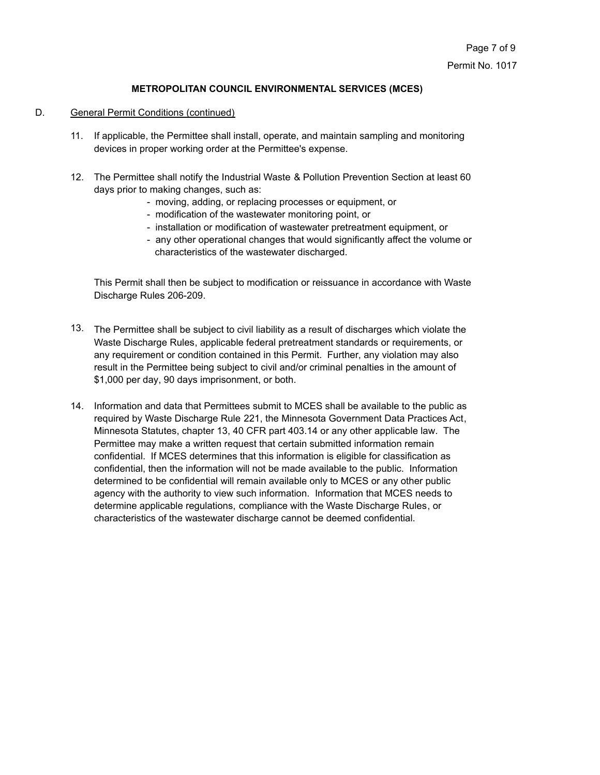# D. General Permit Conditions (continued)

- 11. If applicable, the Permittee shall install, operate, and maintain sampling and monitoring devices in proper working order at the Permittee's expense.
- 12. The Permittee shall notify the Industrial Waste & Pollution Prevention Section at least 60 days prior to making changes, such as:
	- moving, adding, or replacing processes or equipment, or
	- modification of the wastewater monitoring point, or
	- installation or modification of wastewater pretreatment equipment, or
	- any other operational changes that would significantly affect the volume or characteristics of the wastewater discharged.

This Permit shall then be subject to modification or reissuance in accordance with Waste Discharge Rules 206-209.

- 13. The Permittee shall be subject to civil liability as a result of discharges which violate the Waste Discharge Rules, applicable federal pretreatment standards or requirements, or any requirement or condition contained in this Permit. Further, any violation may also result in the Permittee being subject to civil and/or criminal penalties in the amount of \$1,000 per day, 90 days imprisonment, or both.
- 14. Information and data that Permittees submit to MCES shall be available to the public as required by Waste Discharge Rule 221, the Minnesota Government Data Practices Act, Minnesota Statutes, chapter 13, 40 CFR part 403.14 or any other applicable law. The Permittee may make a written request that certain submitted information remain confidential. If MCES determines that this information is eligible for classification as confidential, then the information will not be made available to the public. Information determined to be confidential will remain available only to MCES or any other public agency with the authority to view such information. Information that MCES needs to determine applicable regulations, compliance with the Waste Discharge Rules, or characteristics of the wastewater discharge cannot be deemed confidential.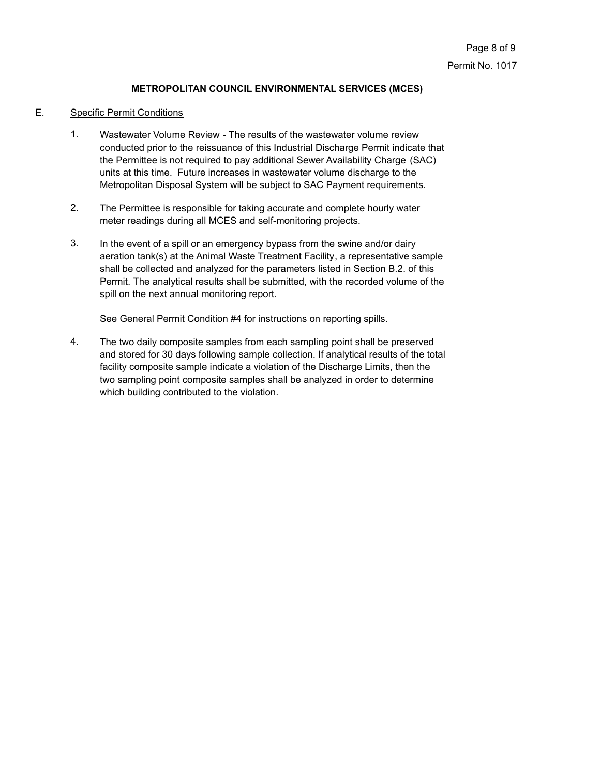# E. Specific Permit Conditions

- Wastewater Volume Review The results of the wastewater volume review conducted prior to the reissuance of this Industrial Discharge Permit indicate that the Permittee is not required to pay additional Sewer Availability Charge (SAC) units at this time. Future increases in wastewater volume discharge to the Metropolitan Disposal System will be subject to SAC Payment requirements. 1.
- The Permittee is responsible for taking accurate and complete hourly water meter readings during all MCES and self-monitoring projects. 2.
- In the event of a spill or an emergency bypass from the swine and/or dairy aeration tank(s) at the Animal Waste Treatment Facility, a representative sample shall be collected and analyzed for the parameters listed in Section B.2. of this Permit. The analytical results shall be submitted, with the recorded volume of the spill on the next annual monitoring report. 3.

See General Permit Condition #4 for instructions on reporting spills.

The two daily composite samples from each sampling point shall be preserved and stored for 30 days following sample collection. If analytical results of the total facility composite sample indicate a violation of the Discharge Limits, then the two sampling point composite samples shall be analyzed in order to determine which building contributed to the violation. 4.